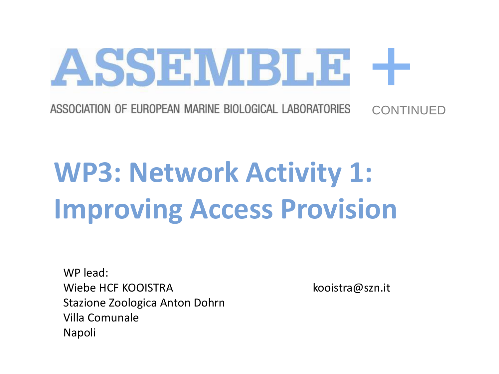+ ASSOCIATION OF EUROPEAN MARINE BIOLOGICAL LABORATORIES **CONTINUED** 

# **WP3: Network Activity 1: Improving Access Provision**

ASSEMBLE

WP lead: Wiebe HCF KOOISTRA kooistra@szn.it Stazione Zoologica Anton Dohrn Villa Comunale Napoli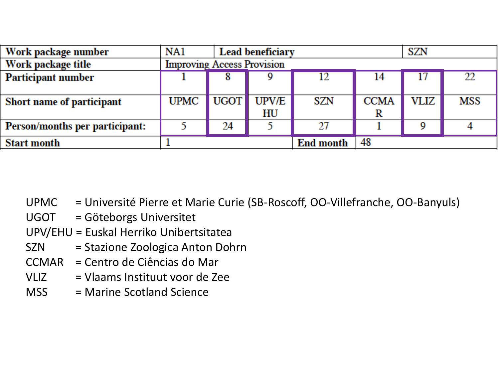| Work package number                   | NA1                               |                   | <b>Lead beneficiary</b> |                  |             | <b>SZN</b> |     |
|---------------------------------------|-----------------------------------|-------------------|-------------------------|------------------|-------------|------------|-----|
| Work package title                    | <b>Improving Access Provision</b> |                   |                         |                  |             |            |     |
| <b>Participant number</b>             |                                   |                   |                         | 12               | 14          | Г          | 22  |
|                                       |                                   |                   |                         |                  |             |            |     |
| Short name of participant             | <b>UPMC</b>                       | UGOT <sup>1</sup> | <b>UPV/E</b>            | <b>SZN</b>       | <b>CCMA</b> | VLIZ       | MSS |
|                                       |                                   |                   | HU                      |                  |             |            |     |
| <b>Person/months per participant:</b> |                                   | 24                |                         | 27               |             |            |     |
| <b>Start month</b>                    |                                   |                   |                         | <b>End month</b> | 48          |            |     |

- UPMC = Université Pierre et Marie Curie (SB-Roscoff, OO-Villefranche, OO-Banyuls)
- UGOT = Göteborgs Universitet
- UPV/EHU = Euskal Herriko Unibertsitatea
- SZN = Stazione Zoologica Anton Dohrn
- CCMAR = Centro de Ciências do Mar
- VLIZ = Vlaams Instituut voor de Zee
- MSS = Marine Scotland Science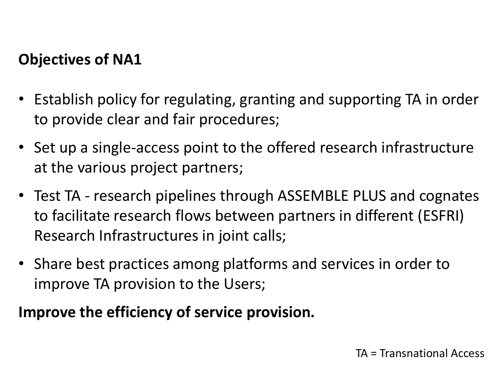#### **Objectives of NA1**

- Establish policy for regulating, granting and supporting TA in order to provide clear and fair procedures;
- Set up a single-access point to the offered research infrastructure at the various project partners;
- Test TA research pipelines through ASSEMBLE PLUS and cognates to facilitate research flows between partners in different (ESFRI) Research Infrastructures in joint calls;
- Share best practices among platforms and services in order to improve TA provision to the Users;

#### **Improve the efficiency of service provision.**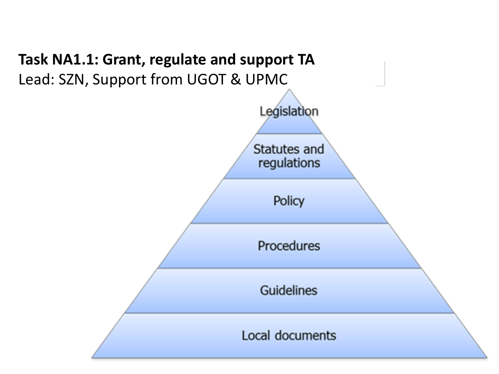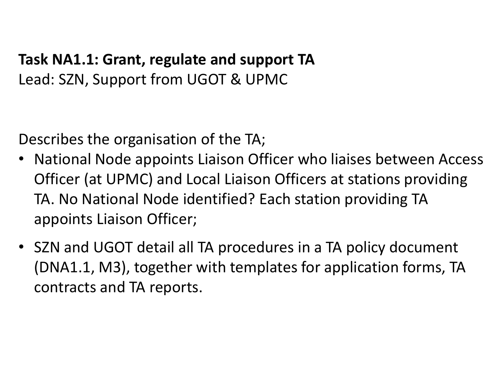#### **Task NA1.1: Grant, regulate and support TA** Lead: SZN, Support from UGOT & UPMC

Describes the organisation of the TA;

- National Node appoints Liaison Officer who liaises between Access Officer (at UPMC) and Local Liaison Officers at stations providing TA. No National Node identified? Each station providing TA appoints Liaison Officer;
- SZN and UGOT detail all TA procedures in a TA policy document (DNA1.1, M3), together with templates for application forms, TA contracts and TA reports.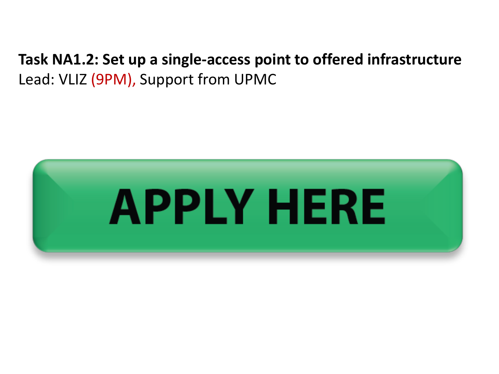#### **Task NA1.2: Set up a single-access point to offered infrastructure** Lead: VLIZ (9PM), Support from UPMC

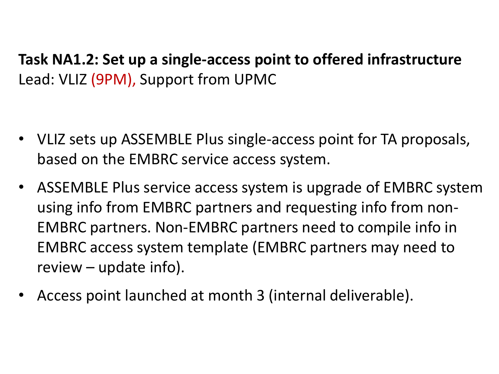**Task NA1.2: Set up a single-access point to offered infrastructure** Lead: VLIZ (9PM), Support from UPMC

- VLIZ sets up ASSEMBLE Plus single-access point for TA proposals, based on the EMBRC service access system.
- ASSEMBLE Plus service access system is upgrade of EMBRC system using info from EMBRC partners and requesting info from non-EMBRC partners. Non-EMBRC partners need to compile info in EMBRC access system template (EMBRC partners may need to review – update info).
- Access point launched at month 3 (internal deliverable).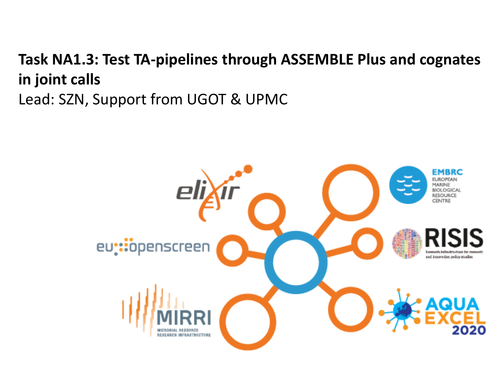#### **Task NA1.3: Test TA-pipelines through ASSEMBLE Plus and cognates in joint calls** Lead: SZN, Support from UGOT & UPMC

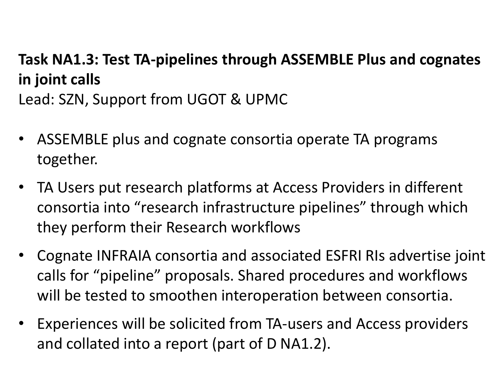### **Task NA1.3: Test TA-pipelines through ASSEMBLE Plus and cognates in joint calls** Lead: SZN, Support from UGOT & UPMC

- ASSEMBLE plus and cognate consortia operate TA programs together.
- TA Users put research platforms at Access Providers in different consortia into "research infrastructure pipelines" through which they perform their Research workflows
- Cognate INFRAIA consortia and associated ESFRI RIs advertise joint calls for "pipeline" proposals. Shared procedures and workflows will be tested to smoothen interoperation between consortia.
- Experiences will be solicited from TA-users and Access providers and collated into a report (part of D NA1.2).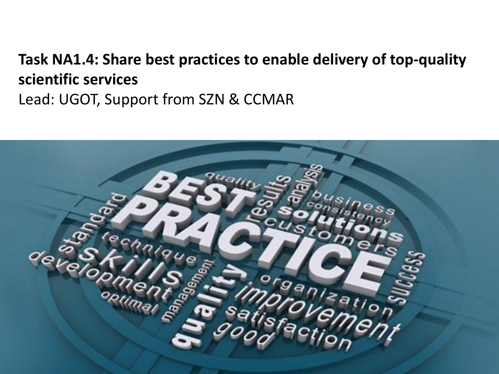### **Task NA1.4: Share best practices to enable delivery of top-quality scientific services**  Lead: UGOT, Support from SZN & CCMAR

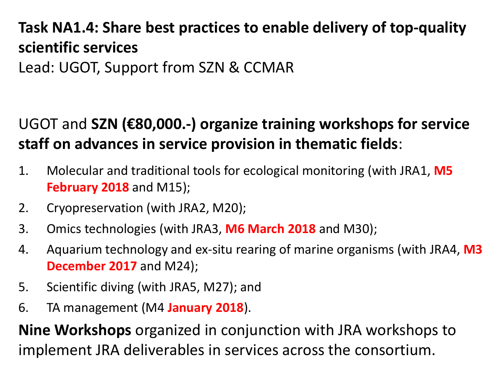# **Task NA1.4: Share best practices to enable delivery of top-quality scientific services**

Lead: UGOT, Support from SZN & CCMAR

## UGOT and **SZN (€80,000.-) organize training workshops for service staff on advances in service provision in thematic fields**:

- 1. Molecular and traditional tools for ecological monitoring (with JRA1, **M5 February 2018** and M15);
- 2. Cryopreservation (with JRA2, M20);
- 3. Omics technologies (with JRA3, **M6 March 2018** and M30);
- 4. Aquarium technology and ex-situ rearing of marine organisms (with JRA4, **M3 December 2017** and M24);
- 5. Scientific diving (with JRA5, M27); and
- 6. TA management (M4 **January 2018**).

**Nine Workshops** organized in conjunction with JRA workshops to implement JRA deliverables in services across the consortium.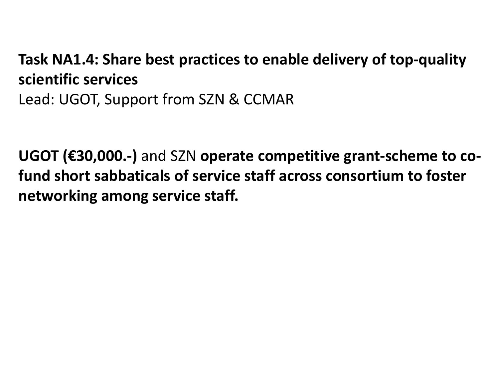#### **Task NA1.4: Share best practices to enable delivery of top-quality scientific services**  Lead: UGOT, Support from SZN & CCMAR

**UGOT (€30,000.-)** and SZN **operate competitive grant-scheme to cofund short sabbaticals of service staff across consortium to foster networking among service staff.**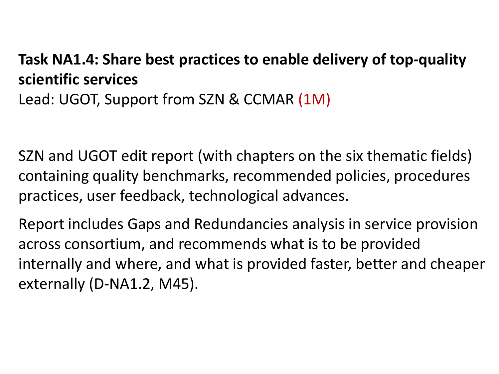### **Task NA1.4: Share best practices to enable delivery of top-quality scientific services**  Lead: UGOT, Support from SZN & CCMAR (1M)

SZN and UGOT edit report (with chapters on the six thematic fields) containing quality benchmarks, recommended policies, procedures practices, user feedback, technological advances.

Report includes Gaps and Redundancies analysis in service provision across consortium, and recommends what is to be provided internally and where, and what is provided faster, better and cheaper externally (D-NA1.2, M45).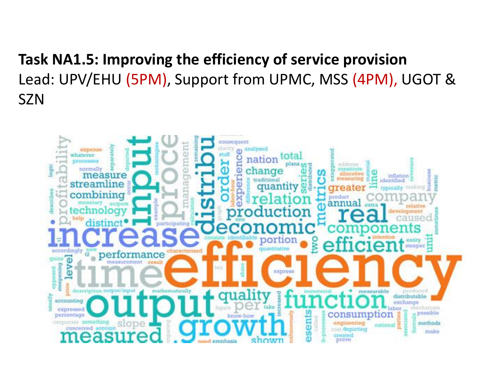**Task NA1.5: Improving the efficiency of service provision** Lead: UPV/EHU (5PM), Support from UPMC, MSS (4PM), UGOT & SZN

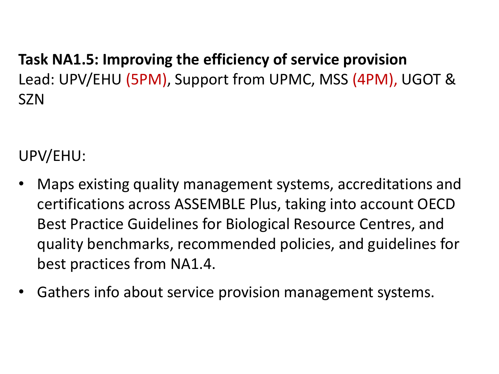**Task NA1.5: Improving the efficiency of service provision** Lead: UPV/EHU (5PM), Support from UPMC, MSS (4PM), UGOT & SZN

UPV/EHU:

- Maps existing quality management systems, accreditations and certifications across ASSEMBLE Plus, taking into account OECD Best Practice Guidelines for Biological Resource Centres, and quality benchmarks, recommended policies, and guidelines for best practices from NA1.4.
- Gathers info about service provision management systems.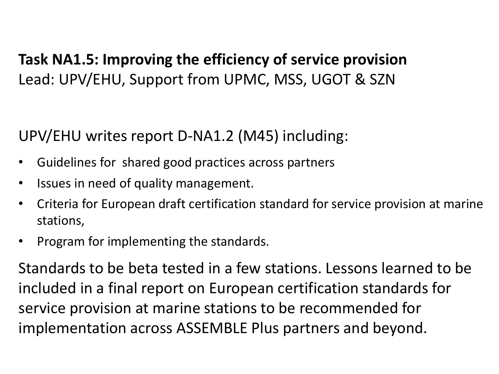### **Task NA1.5: Improving the efficiency of service provision** Lead: UPV/EHU, Support from UPMC, MSS, UGOT & SZN

UPV/EHU writes report D-NA1.2 (M45) including:

- Guidelines for shared good practices across partners
- Issues in need of quality management.
- Criteria for European draft certification standard for service provision at marine stations,
- Program for implementing the standards.

Standards to be beta tested in a few stations. Lessons learned to be included in a final report on European certification standards for service provision at marine stations to be recommended for implementation across ASSEMBLE Plus partners and beyond.